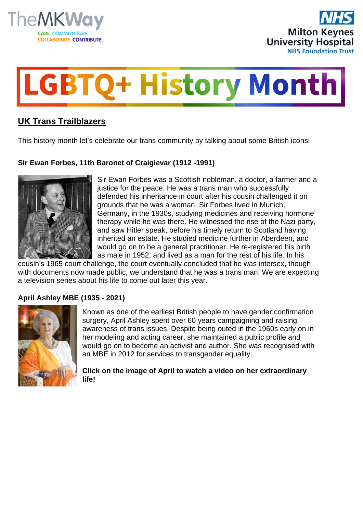





# **UK Trans Trailblazers**

This history month let's celebrate our trans community by talking about some British icons!

## **Sir Ewan Forbes, 11th Baronet of Craigievar (1912 -1991)**



Sir Ewan Forbes was a Scottish nobleman, a doctor, a farmer and a justice for the peace. He was a trans man who successfully defended his inheritance in court after his cousin challenged it on grounds that he was a woman. Sir Forbes lived in Munich, Germany, in the 1930s, studying medicines and receiving hormone therapy while he was there. He witnessed the rise of the Nazi party, and saw Hitler speak, before his timely return to Scotland having inherited an estate. He studied medicine further in Aberdeen, and would go on to be a general practitioner. He re-registered his birth as male in 1952, and lived as a man for the rest of his life. In his

cousin's 1965 court challenge, the court eventually concluded that he was intersex, though with documents now made public, we understand that he was a trans man. We are expecting a television series about his life to come out later this year.

#### **April Ashley MBE (1935 - 2021)**



Known as one of the earliest British people to have gender confirmation surgery, April Ashley spent over 60 years campaigning and raising awareness of trans issues. Despite being outed in the 1960s early on in her modeling and acting career, she maintained a public profile and would go on to become an activist and author. She was recognised with an MBE in 2012 for services to transgender equality.

**Click on the image of April to watch a video on her extraordinary life!**